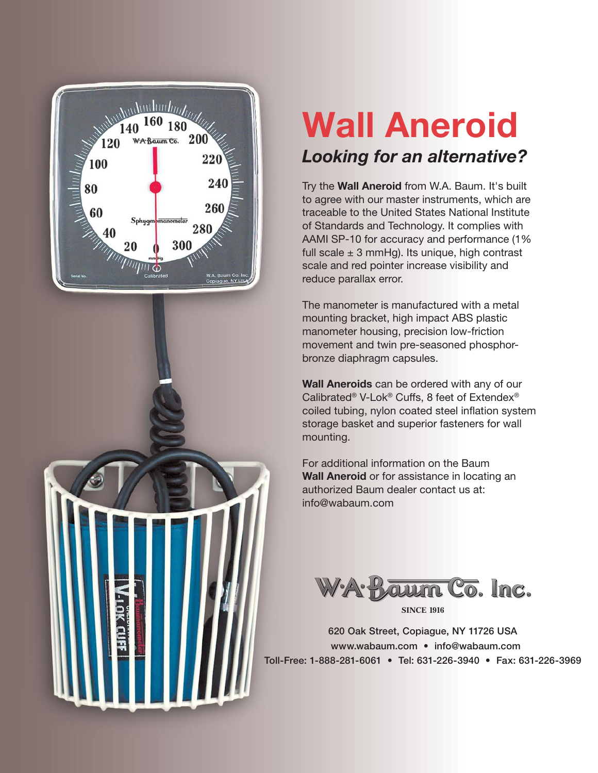

# **Wall Aneroid** *Looking for an alternative?*

Try the **Wall Aneroid** from W.A. Baum. It's built to agree with our master instruments, which are traceable to the United States National Institute of Standards and Technology. It complies with AAMI SP-10 for accuracy and performance (1% full scale  $\pm$  3 mmHg). Its unique, high contrast scale and red pointer increase visibility and reduce parallax error.

The manometer is manufactured with a metal mounting bracket, high impact ABS plastic manometer housing, precision low-friction movement and twin pre-seasoned phosphorbronze diaphragm capsules.

**Wall Aneroids** can be ordered with any of our Calibrated® V-Lok® Cuffs, 8 feet of Extendex® coiled tubing, nylon coated steel inflation system storage basket and superior fasteners for wall mounting.

For additional information on the Baum **Wall Aneroid** or for assistance in locating an authorized Baum dealer contact us at: info@wabaum.com



620 Oak Street, Copiague, NY 11726 USA www.wabaum.com • info@wabaum.com Toll-Free: 1-888-281-6061 • Tel: 631-226-3940 • Fax: 631-226-3969